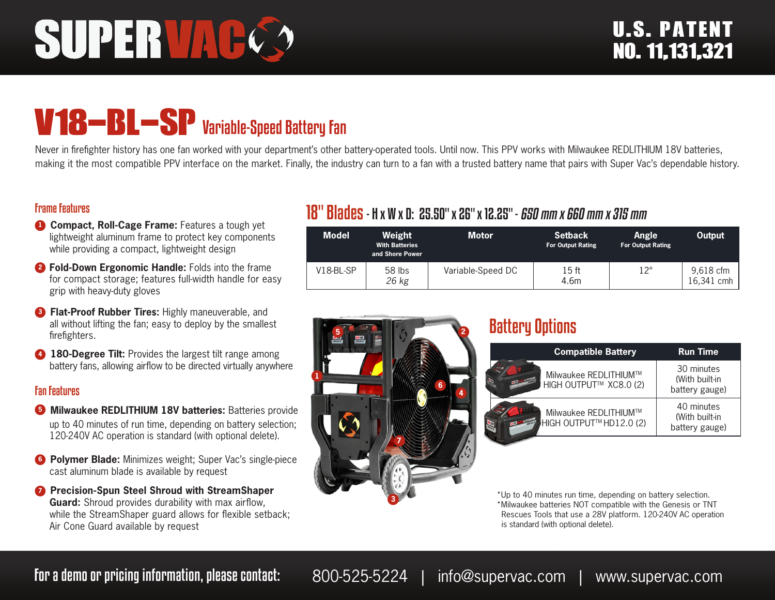# SUPERVAC

# V18-BL-SP Variable-Speed Battery Fan

Never in firefighter history has one fan worked with your department's other battery-operated tools. Until now. This PPV works with Milwaukee REDLITHIUM 18V batteries, making it the most compatible PPV interface on the market. Finally, the industry can turn to a fan with a trusted battery name that pairs with Super Vac's dependable history.

#### Frame Features

- **1 Compact, Roll-Cage Frame:** Features a tough yet lightweight aluminum frame to protect key components while providing a compact, lightweight design
- **<sup>2</sup> Fold-Down Ergonomic Handle:** Folds into the frame for compact storage; features full-width handle for easy grip with heavy-duty gloves
- **8 Flat-Proof Rubber Tires:** Highly maneuverable, and all without lifting the fan; easy to deploy by the smallest firefighters.
- **4 180-Degree Tilt:** Provides the largest tilt range among battery fans, allowing airflow to be directed virtually anywhere

#### Fan Features

- **5** Milwaukee REDLITHIUM 18V batteries: Batteries provide up to 40 minutes of run time, depending on battery selection; 120-240V AC operation is standard (with optional delete).
- **6 Polymer Blade:** Minimizes weight; Super Vac's single-piece cast aluminum blade is available by request
- **<sup>***1***</sup> Precision-Spun Steel Shroud with StreamShaper Guard:** Shroud provides durability with max airflow, while the StreamShaper guard allows for flexible setback; Air Cone Guard available by request

# 18" Blades- H x W x D: 25.50" x 26" x 12.25" - 650 mm x 660 mm x 315 mm

| <b>Model</b> | Weight<br><b>With Batteries</b><br>and Shore Power | Motor             | <b>Setback</b><br><b>For Output Rating</b> | Angle<br><b>For Output Rating</b> | Output                  |
|--------------|----------------------------------------------------|-------------------|--------------------------------------------|-----------------------------------|-------------------------|
| $V18-BL-SP$  | 58 lbs<br>26 kg                                    | Variable-Speed DC | 15 ft<br>4.6m                              | $12^{\circ}$                      | 9,618 cfm<br>16,341 cmh |



## Battery Options

| <b>Compatible Battery</b>                        | <b>Run Time</b>                                |
|--------------------------------------------------|------------------------------------------------|
| Milwaukee REDLITHIUM™<br>HIGH OUTPUT™ XC8.0 (2)  | 30 minutes<br>(With built-in<br>battery gauge) |
| Milwaukee REDLITHIUM™<br>HIGH OUTPUT™ HD12.0 (2) | 40 minutes<br>(With built-in<br>battery gauge) |

\*Up to 40 minutes run time, depending on battery selection. \*Milwaukee batteries NOT compatible with the Genesis or TNT Rescues Tools that use a 28V platform. 120-240V AC operation is standard (with optional delete).

For a demo or pricing information, please contact: 800-525-5224 | info@supervac.com | www.supervac.com